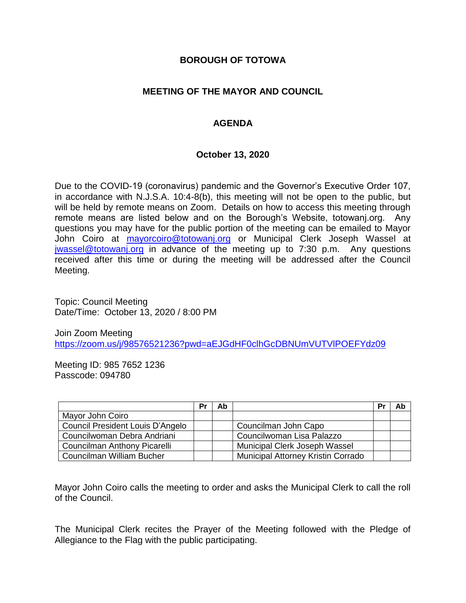#### **BOROUGH OF TOTOWA**

### **MEETING OF THE MAYOR AND COUNCIL**

### **AGENDA**

#### **October 13, 2020**

Due to the COVID-19 (coronavirus) pandemic and the Governor's Executive Order 107, in accordance with N.J.S.A. 10:4-8(b), this meeting will not be open to the public, but will be held by remote means on Zoom. Details on how to access this meeting through remote means are listed below and on the Borough's Website, totowanj.org. Any questions you may have for the public portion of the meeting can be emailed to Mayor John Coiro at [mayorcoiro@totowanj.org](mailto:mayorcoiro@totowanj.org) or Municipal Clerk Joseph Wassel at [jwassel@totowanj.org](mailto:jwassel@totowanj.org) in advance of the meeting up to 7:30 p.m. Any questions received after this time or during the meeting will be addressed after the Council Meeting.

Topic: Council Meeting Date/Time: October 13, 2020 / 8:00 PM

Join Zoom Meeting <https://zoom.us/j/98576521236?pwd=aEJGdHF0clhGcDBNUmVUTVlPOEFYdz09>

Meeting ID: 985 7652 1236 Passcode: 094780

|                                         | Pr | Ab |                                           | Pr | Ab |
|-----------------------------------------|----|----|-------------------------------------------|----|----|
| Mayor John Coiro                        |    |    |                                           |    |    |
| <b>Council President Louis D'Angelo</b> |    |    | Councilman John Capo                      |    |    |
| Councilwoman Debra Andriani             |    |    | Councilwoman Lisa Palazzo                 |    |    |
| Councilman Anthony Picarelli            |    |    | Municipal Clerk Joseph Wassel             |    |    |
| Councilman William Bucher               |    |    | <b>Municipal Attorney Kristin Corrado</b> |    |    |

Mayor John Coiro calls the meeting to order and asks the Municipal Clerk to call the roll of the Council.

The Municipal Clerk recites the Prayer of the Meeting followed with the Pledge of Allegiance to the Flag with the public participating.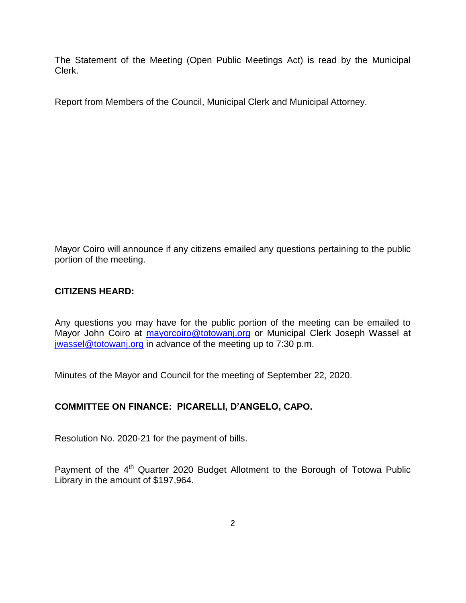The Statement of the Meeting (Open Public Meetings Act) is read by the Municipal Clerk.

Report from Members of the Council, Municipal Clerk and Municipal Attorney.

Mayor Coiro will announce if any citizens emailed any questions pertaining to the public portion of the meeting.

### **CITIZENS HEARD:**

Any questions you may have for the public portion of the meeting can be emailed to Mayor John Coiro at [mayorcoiro@totowanj.org](mailto:mayorcoiro@totowanj.org) or Municipal Clerk Joseph Wassel at [jwassel@totowanj.org](mailto:jwassel@totowanj.org) in advance of the meeting up to 7:30 p.m.

Minutes of the Mayor and Council for the meeting of September 22, 2020.

# **COMMITTEE ON FINANCE: PICARELLI, D'ANGELO, CAPO.**

Resolution No. 2020-21 for the payment of bills.

Payment of the 4<sup>th</sup> Quarter 2020 Budget Allotment to the Borough of Totowa Public Library in the amount of \$197,964.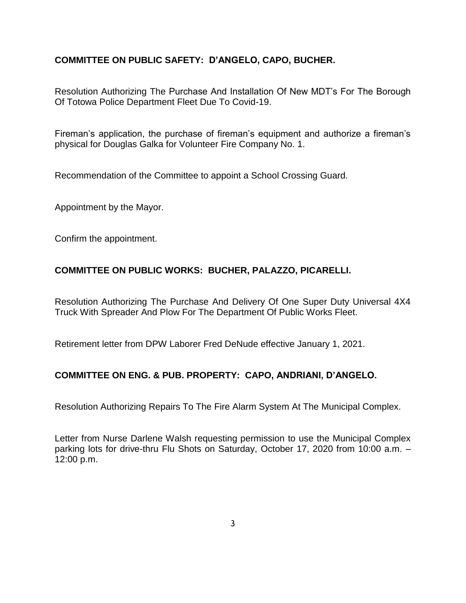# **COMMITTEE ON PUBLIC SAFETY: D'ANGELO, CAPO, BUCHER.**

Resolution Authorizing The Purchase And Installation Of New MDT's For The Borough Of Totowa Police Department Fleet Due To Covid-19.

Fireman's application, the purchase of fireman's equipment and authorize a fireman's physical for Douglas Galka for Volunteer Fire Company No. 1.

Recommendation of the Committee to appoint a School Crossing Guard.

Appointment by the Mayor.

Confirm the appointment.

# **COMMITTEE ON PUBLIC WORKS: BUCHER, PALAZZO, PICARELLI.**

Resolution Authorizing The Purchase And Delivery Of One Super Duty Universal 4X4 Truck With Spreader And Plow For The Department Of Public Works Fleet.

Retirement letter from DPW Laborer Fred DeNude effective January 1, 2021.

# **COMMITTEE ON ENG. & PUB. PROPERTY: CAPO, ANDRIANI, D'ANGELO.**

Resolution Authorizing Repairs To The Fire Alarm System At The Municipal Complex.

Letter from Nurse Darlene Walsh requesting permission to use the Municipal Complex parking lots for drive-thru Flu Shots on Saturday, October 17, 2020 from 10:00 a.m. – 12:00 p.m.